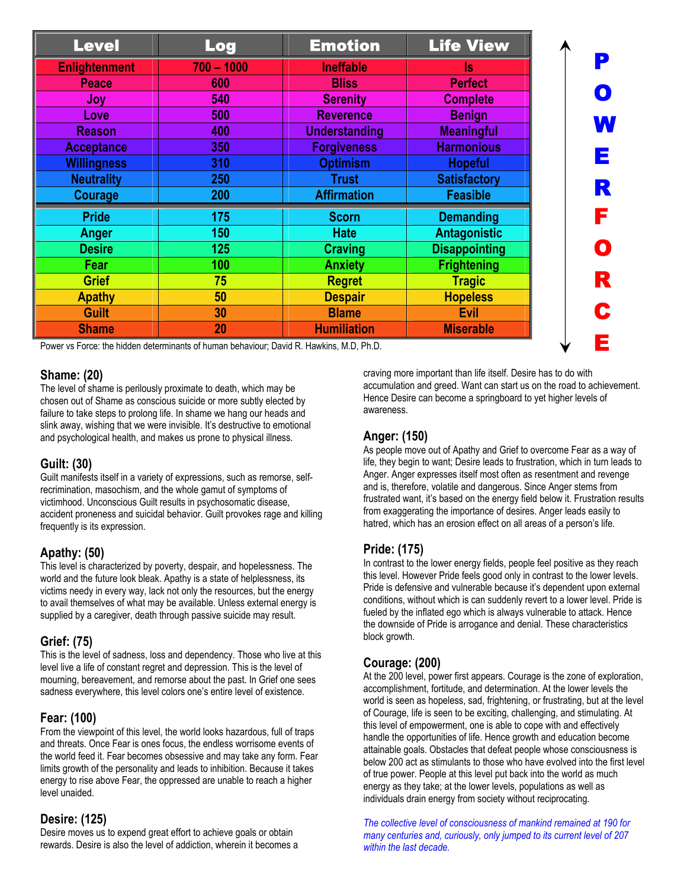| <b>Level</b>         | <b>Log</b>   | <b>Emotion</b>       | <b>Life View</b>     |
|----------------------|--------------|----------------------|----------------------|
| <b>Enlightenment</b> | $700 - 1000$ | <b>Ineffable</b>     | ls                   |
| Peace                | 600          | <b>Bliss</b>         | <b>Perfect</b>       |
| Joy                  | 540          | <b>Serenity</b>      | <b>Complete</b>      |
| Love                 | 500          | <b>Reverence</b>     | <b>Benign</b>        |
| <b>Reason</b>        | 400          | <b>Understanding</b> | <b>Meaningful</b>    |
| <b>Acceptance</b>    | 350          | <b>Forgiveness</b>   | <b>Harmonious</b>    |
| <b>Willingness</b>   | 310          | <b>Optimism</b>      | <b>Hopeful</b>       |
| <b>Neutrality</b>    | 250          | <b>Trust</b>         | <b>Satisfactory</b>  |
| <b>Courage</b>       | 200          | <b>Affirmation</b>   | <b>Feasible</b>      |
| <b>Pride</b>         | 175          | <b>Scorn</b>         | <b>Demanding</b>     |
| Anger                | 150          | <b>Hate</b>          | <b>Antagonistic</b>  |
| <b>Desire</b>        | 125          | <b>Craving</b>       | <b>Disappointing</b> |
| Fear                 | 100          | <b>Anxiety</b>       | <b>Frightening</b>   |
| <b>Grief</b>         | 75           | <b>Regret</b>        | <b>Tragic</b>        |
| <b>Apathy</b>        | 50           | <b>Despair</b>       | <b>Hopeless</b>      |
| <b>Guilt</b>         | 30           | <b>Blame</b>         | <b>Evil</b>          |
| <b>Shame</b>         | 20           | <b>Humiliation</b>   | <b>Miserable</b>     |

Power vs Force: the hidden determinants of human behaviour; David R. Hawkins, M.D, Ph.D.

### **Shame: (20)**

The level of shame is perilously proximate to death, which may be chosen out of Shame as conscious suicide or more subtly elected by failure to take steps to prolong life. In shame we hang our heads and slink away, wishing that we were invisible. It's destructive to emotional and psychological health, and makes us prone to physical illness.

### **Guilt: (30)**

Guilt manifests itself in a variety of expressions, such as remorse, selfrecrimination, masochism, and the whole gamut of symptoms of victimhood. Unconscious Guilt results in psychosomatic disease, accident proneness and suicidal behavior. Guilt provokes rage and killing frequently is its expression.

### **Apathy: (50)**

This level is characterized by poverty, despair, and hopelessness. The world and the future look bleak. Apathy is a state of helplessness, its victims needy in every way, lack not only the resources, but the energy to avail themselves of what may be available. Unless external energy is supplied by a caregiver, death through passive suicide may result.

### **Grief: (75)**

This is the level of sadness, loss and dependency. Those who live at this level live a life of constant regret and depression. This is the level of mourning, bereavement, and remorse about the past. In Grief one sees sadness everywhere, this level colors one's entire level of existence.

#### **Fear: (100)**

From the viewpoint of this level, the world looks hazardous, full of traps and threats. Once Fear is ones focus, the endless worrisome events of the world feed it. Fear becomes obsessive and may take any form. Fear limits growth of the personality and leads to inhibition. Because it takes energy to rise above Fear, the oppressed are unable to reach a higher level unaided.

### **Desire: (125)**

Desire moves us to expend great effort to achieve goals or obtain rewards. Desire is also the level of addiction, wherein it becomes a craving more important than life itself. Desire has to do with accumulation and greed. Want can start us on the road to achievement. Hence Desire can become a springboard to yet higher levels of awareness.

#### **Anger: (150)**

As people move out of Apathy and Grief to overcome Fear as a way of life, they begin to want; Desire leads to frustration, which in turn leads to Anger. Anger expresses itself most often as resentment and revenge and is, therefore, volatile and dangerous. Since Anger stems from frustrated want, it's based on the energy field below it. Frustration results from exaggerating the importance of desires. Anger leads easily to hatred, which has an erosion effect on all areas of a person's life.

### **Pride: (175)**

In contrast to the lower energy fields, people feel positive as they reach this level. However Pride feels good only in contrast to the lower levels. Pride is defensive and vulnerable because it's dependent upon external conditions, without which is can suddenly revert to a lower level. Pride is fueled by the inflated ego which is always vulnerable to attack. Hence the downside of Pride is arrogance and denial. These characteristics block growth.

### **Courage: (200)**

At the 200 level, power first appears. Courage is the zone of exploration, accomplishment, fortitude, and determination. At the lower levels the world is seen as hopeless, sad, frightening, or frustrating, but at the level of Courage, life is seen to be exciting, challenging, and stimulating. At this level of empowerment, one is able to cope with and effectively handle the opportunities of life. Hence growth and education become attainable goals. Obstacles that defeat people whose consciousness is below 200 act as stimulants to those who have evolved into the first level of true power. People at this level put back into the world as much energy as they take; at the lower levels, populations as well as individuals drain energy from society without reciprocating.

*The collective level of consciousness of mankind remained at 190 for many centuries and, curiously, only jumped to its current level of 207 within the last decade.*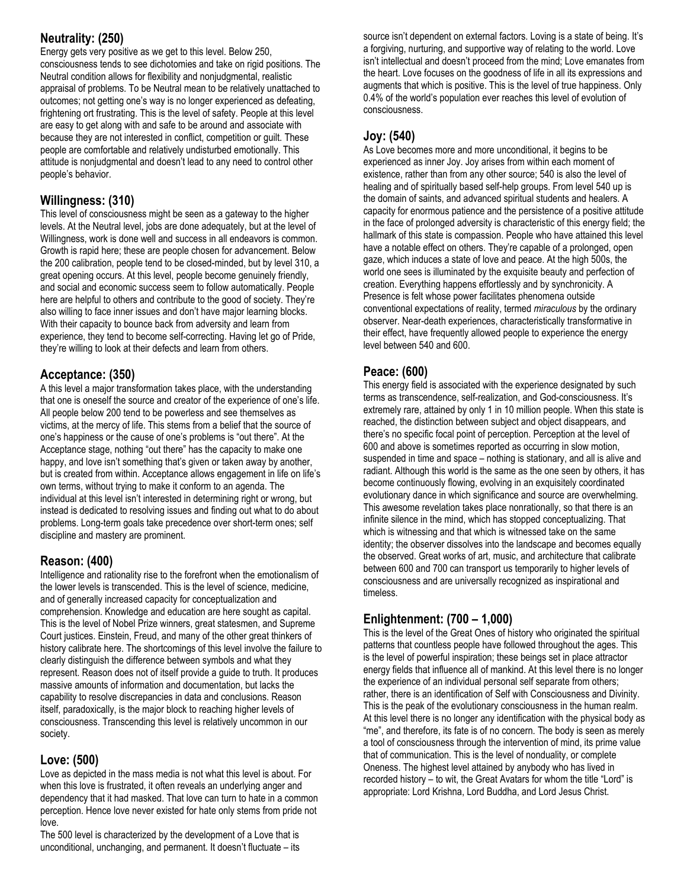# **Neutrality: (250)**

Energy gets very positive as we get to this level. Below 250, consciousness tends to see dichotomies and take on rigid positions. The Neutral condition allows for flexibility and nonjudgmental, realistic appraisal of problems. To be Neutral mean to be relatively unattached to outcomes; not getting one's way is no longer experienced as defeating, frightening ort frustrating. This is the level of safety. People at this level are easy to get along with and safe to be around and associate with because they are not interested in conflict, competition or guilt. These people are comfortable and relatively undisturbed emotionally. This attitude is nonjudgmental and doesn't lead to any need to control other people's behavior.

# **Willingness: (310)**

This level of consciousness might be seen as a gateway to the higher levels. At the Neutral level, jobs are done adequately, but at the level of Willingness, work is done well and success in all endeavors is common. Growth is rapid here; these are people chosen for advancement. Below the 200 calibration, people tend to be closed-minded, but by level 310, a great opening occurs. At this level, people become genuinely friendly, and social and economic success seem to follow automatically. People here are helpful to others and contribute to the good of society. They're also willing to face inner issues and don't have major learning blocks. With their capacity to bounce back from adversity and learn from experience, they tend to become self-correcting. Having let go of Pride, they're willing to look at their defects and learn from others.

# **Acceptance: (350)**

A this level a major transformation takes place, with the understanding that one is oneself the source and creator of the experience of one's life. All people below 200 tend to be powerless and see themselves as victims, at the mercy of life. This stems from a belief that the source of one's happiness or the cause of one's problems is "out there". At the Acceptance stage, nothing "out there" has the capacity to make one happy, and love isn't something that's given or taken away by another, but is created from within. Acceptance allows engagement in life on life's own terms, without trying to make it conform to an agenda. The individual at this level isn't interested in determining right or wrong, but instead is dedicated to resolving issues and finding out what to do about problems. Long-term goals take precedence over short-term ones; self discipline and mastery are prominent.

## **Reason: (400)**

Intelligence and rationality rise to the forefront when the emotionalism of the lower levels is transcended. This is the level of science, medicine, and of generally increased capacity for conceptualization and comprehension. Knowledge and education are here sought as capital. This is the level of Nobel Prize winners, great statesmen, and Supreme Court justices. Einstein, Freud, and many of the other great thinkers of history calibrate here. The shortcomings of this level involve the failure to clearly distinguish the difference between symbols and what they represent. Reason does not of itself provide a guide to truth. It produces massive amounts of information and documentation, but lacks the capability to resolve discrepancies in data and conclusions. Reason itself, paradoxically, is the major block to reaching higher levels of consciousness. Transcending this level is relatively uncommon in our society.

## **Love: (500)**

Love as depicted in the mass media is not what this level is about. For when this love is frustrated, it often reveals an underlying anger and dependency that it had masked. That love can turn to hate in a common perception. Hence love never existed for hate only stems from pride not love.

The 500 level is characterized by the development of a Love that is unconditional, unchanging, and permanent. It doesn't fluctuate – its

source isn't dependent on external factors. Loving is a state of being. It's a forgiving, nurturing, and supportive way of relating to the world. Love isn't intellectual and doesn't proceed from the mind; Love emanates from the heart. Love focuses on the goodness of life in all its expressions and augments that which is positive. This is the level of true happiness. Only 0.4% of the world's population ever reaches this level of evolution of consciousness.

# **Joy: (540)**

As Love becomes more and more unconditional, it begins to be experienced as inner Joy. Joy arises from within each moment of existence, rather than from any other source; 540 is also the level of healing and of spiritually based self-help groups. From level 540 up is the domain of saints, and advanced spiritual students and healers. A capacity for enormous patience and the persistence of a positive attitude in the face of prolonged adversity is characteristic of this energy field; the hallmark of this state is compassion. People who have attained this level have a notable effect on others. They're capable of a prolonged, open gaze, which induces a state of love and peace. At the high 500s, the world one sees is illuminated by the exquisite beauty and perfection of creation. Everything happens effortlessly and by synchronicity. A Presence is felt whose power facilitates phenomena outside conventional expectations of reality, termed *miraculous* by the ordinary observer. Near-death experiences, characteristically transformative in their effect, have frequently allowed people to experience the energy level between 540 and 600.

# **Peace: (600)**

This energy field is associated with the experience designated by such terms as transcendence, self-realization, and God-consciousness. It's extremely rare, attained by only 1 in 10 million people. When this state is reached, the distinction between subject and object disappears, and there's no specific focal point of perception. Perception at the level of 600 and above is sometimes reported as occurring in slow motion, suspended in time and space – nothing is stationary, and all is alive and radiant. Although this world is the same as the one seen by others, it has become continuously flowing, evolving in an exquisitely coordinated evolutionary dance in which significance and source are overwhelming. This awesome revelation takes place nonrationally, so that there is an infinite silence in the mind, which has stopped conceptualizing. That which is witnessing and that which is witnessed take on the same identity; the observer dissolves into the landscape and becomes equally the observed. Great works of art, music, and architecture that calibrate between 600 and 700 can transport us temporarily to higher levels of consciousness and are universally recognized as inspirational and timeless.

## **Enlightenment: (700 – 1,000)**

This is the level of the Great Ones of history who originated the spiritual patterns that countless people have followed throughout the ages. This is the level of powerful inspiration; these beings set in place attractor energy fields that influence all of mankind. At this level there is no longer the experience of an individual personal self separate from others; rather, there is an identification of Self with Consciousness and Divinity. This is the peak of the evolutionary consciousness in the human realm. At this level there is no longer any identification with the physical body as "me", and therefore, its fate is of no concern. The body is seen as merely a tool of consciousness through the intervention of mind, its prime value that of communication. This is the level of nonduality, or complete Oneness. The highest level attained by anybody who has lived in recorded history – to wit, the Great Avatars for whom the title "Lord" is appropriate: Lord Krishna, Lord Buddha, and Lord Jesus Christ.